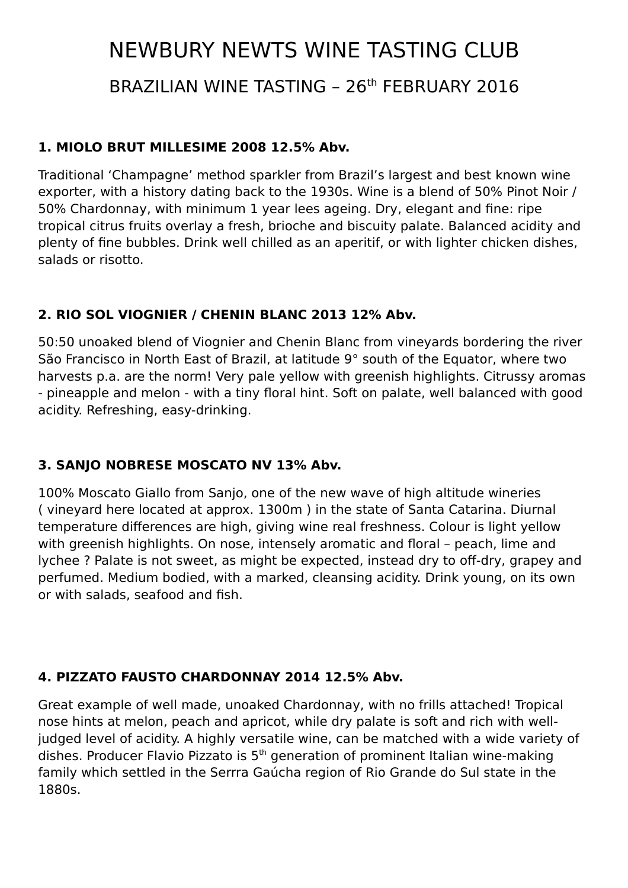# NEWBURY NEWTS WINE TASTING CLUB

BRAZILIAN WINE TASTING – 26th FEBRUARY 2016

#### **1. MIOLO BRUT MILLESIME 2008 12.5% Abv.**

Traditional 'Champagne' method sparkler from Brazil's largest and best known wine exporter, with a history dating back to the 1930s. Wine is a blend of 50% Pinot Noir / 50% Chardonnay, with minimum 1 year lees ageing. Dry, elegant and fine: ripe tropical citrus fruits overlay a fresh, brioche and biscuity palate. Balanced acidity and plenty of fine bubbles. Drink well chilled as an aperitif, or with lighter chicken dishes, salads or risotto.

# **2. RIO SOL VIOGNIER / CHENIN BLANC 2013 12% Abv.**

50:50 unoaked blend of Viognier and Chenin Blanc from vineyards bordering the river São Francisco in North East of Brazil, at latitude 9° south of the Equator, where two harvests p.a. are the norm! Very pale yellow with greenish highlights. Citrussy aromas - pineapple and melon - with a tiny floral hint. Soft on palate, well balanced with good acidity. Refreshing, easy-drinking.

# **3. SANJO NOBRESE MOSCATO NV 13% Abv.**

100% Moscato Giallo from Sanjo, one of the new wave of high altitude wineries ( vineyard here located at approx. 1300m ) in the state of Santa Catarina. Diurnal temperature differences are high, giving wine real freshness. Colour is light yellow with greenish highlights. On nose, intensely aromatic and floral – peach, lime and lychee ? Palate is not sweet, as might be expected, instead dry to off-dry, grapey and perfumed. Medium bodied, with a marked, cleansing acidity. Drink young, on its own or with salads, seafood and fish.

# **4. PIZZATO FAUSTO CHARDONNAY 2014 12.5% Abv.**

Great example of well made, unoaked Chardonnay, with no frills attached! Tropical nose hints at melon, peach and apricot, while dry palate is soft and rich with welljudged level of acidity. A highly versatile wine, can be matched with a wide variety of dishes. Producer Flavio Pizzato is 5th generation of prominent Italian wine-making family which settled in the Serrra Gaúcha region of Rio Grande do Sul state in the 1880s.